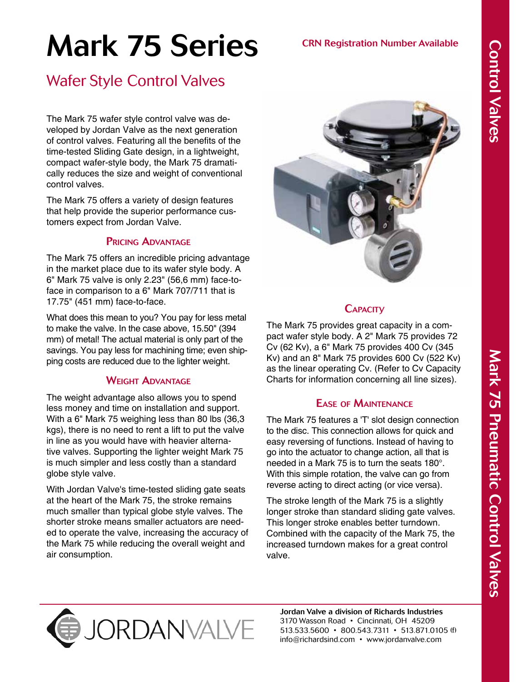# Mark 75 Series

## Wafer Style Control Valves

The Mark 75 wafer style control valve was developed by Jordan Valve as the next generation of control valves. Featuring all the benefits of the time-tested Sliding Gate design, in a lightweight, compact wafer-style body, the Mark 75 dramatically reduces the size and weight of conventional control valves.

The Mark 75 offers a variety of design features that help provide the superior performance customers expect from Jordan Valve.

#### Pricing Advantage

The Mark 75 offers an incredible pricing advantage in the market place due to its wafer style body. A 6" Mark 75 valve is only 2.23" (56,6 mm) face-toface in comparison to a 6" Mark 707/711 that is 17.75" (451 mm) face-to-face.

What does this mean to you? You pay for less metal to make the valve. In the case above, 15.50" (394 mm) of metal! The actual material is only part of the savings. You pay less for machining time; even shipping costs are reduced due to the lighter weight.

#### WFIGHT **ADVANTAGF**

The weight advantage also allows you to spend less money and time on installation and support. With a 6" Mark 75 weighing less than 80 lbs (36,3 kgs), there is no need to rent a lift to put the valve in line as you would have with heavier alternative valves. Supporting the lighter weight Mark 75 is much simpler and less costly than a standard globe style valve.

With Jordan Valve's time-tested sliding gate seats at the heart of the Mark 75, the stroke remains much smaller than typical globe style valves. The shorter stroke means smaller actuators are needed to operate the valve, increasing the accuracy of the Mark 75 while reducing the overall weight and air consumption.



CRN Registration Number Available

## **CAPACITV**

The Mark 75 provides great capacity in a compact wafer style body. A 2" Mark 75 provides 72 Cv (62 Kv), a 6" Mark 75 provides 400 Cv (345 Kv) and an 8" Mark 75 provides 600 Cv (522 Kv) as the linear operating Cv. (Refer to Cv Capacity Charts for information concerning all line sizes).

### Ease of Maintenance

The Mark 75 features a 'T' slot design connection to the disc. This connection allows for quick and easy reversing of functions. Instead of having to go into the actuator to change action, all that is needed in a Mark 75 is to turn the seats 180°. With this simple rotation, the valve can go from reverse acting to direct acting (or vice versa).

The stroke length of the Mark 75 is a slightly longer stroke than standard sliding gate valves. This longer stroke enables better turndown. Combined with the capacity of the Mark 75, the increased turndown makes for a great control valve.



Jordan Valve a division of Richards Industries 3170 Wasson Road • Cincinnati, OH 45209 513.533.5600 • 800.543.7311 • 513.871.0105 (f) info@richardsind.com • www.jordanvalve.com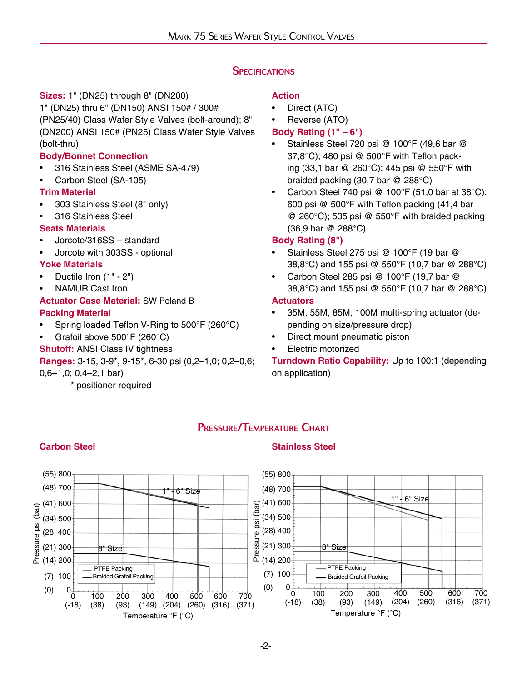#### **SPECIFICATIONS**

#### **Sizes:** 1" (DN25) through 8" (DN200)

1" (DN25) thru 6" (DN150) ANSI 150# / 300# (PN25/40) Class Wafer Style Valves (bolt-around); 8" (DN200) ANSI 150# (PN25) Class Wafer Style Valves (bolt-thru)

#### **Body/Bonnet Connection**

- 316 Stainless Steel (ASME SA-479)
- Carbon Steel (SA-105)

#### **Trim Material**

- 303 Stainless Steel (8" only)
- 316 Stainless Steel

#### **Seats Materials**

- Jorcote/316SS standard
- Jorcote with 303SS optional

#### **Yoke Materials**

- Ductile Iron (1" 2")
- NAMUR Cast Iron

#### **Actuator Case Material:** SW Poland B **Packing Material**

- Spring loaded Teflon V-Ring to 500°F (260°C)
- Grafoil above 500°F (260°C)
- **Shutoff:** ANSI Class IV tightness

**Ranges:** 3-15, 3-9\*, 9-15\*, 6-30 psi (0,2–1,0; 0,2–0,6;

**Carbon Steel Stainless Steel**

0,6–1,0; 0,4–2,1 bar)

\* positioner required

#### **Action**

- Direct (ATC)
- Reverse (ATO)
- **Body Rating (1" 6")**
- Stainless Steel 720 psi @ 100°F (49,6 bar @ 37,8°C); 480 psi @ 500°F with Teflon packing (33,1 bar @ 260°C); 445 psi @ 550°F with braided packing (30,7 bar @ 288°C)
- Carbon Steel 740 psi @ 100°F (51,0 bar at 38°C); 600 psi @ 500°F with Teflon packing (41,4 bar @ 260°C); 535 psi @ 550°F with braided packing (36,9 bar @ 288°C)

#### **Body Rating (8")**

- Stainless Steel 275 psi @ 100°F (19 bar @ 38,8°C) and 155 psi @ 550°F (10,7 bar @ 288°C)
- Carbon Steel 285 psi @ 100°F (19,7 bar @ 38,8°C) and 155 psi @ 550°F (10,7 bar @ 288°C)

#### **Actuators**

- 35M, 55M, 85M, 100M multi-spring actuator (depending on size/pressure drop)
- Direct mount pneumatic piston
- Electric motorized

**Turndown Ratio Capability:** Up to 100:1 (depending on application)

#### Pressure/Temperature Chart



-2-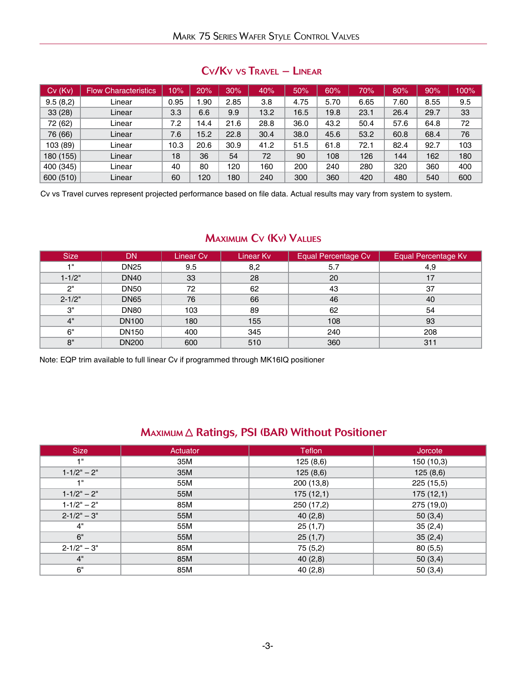|  |  |  | $CVKv$ vs $Travel - Linear$ |  |
|--|--|--|-----------------------------|--|
|--|--|--|-----------------------------|--|

| $Cv$ ( $Kv$ ) | <b>Flow Characteristics</b> | 10%  | 20%  | 30%  | 40%  | 50%  | 60%  | 70%  | 80%  | 90%  | 100% |
|---------------|-----------------------------|------|------|------|------|------|------|------|------|------|------|
| 9.5(8,2)      | Linear                      | 0.95 | .90  | 2.85 | 3.8  | 4.75 | 5.70 | 6.65 | 7.60 | 8.55 | 9.5  |
| 33(28)        | Linear                      | 3.3  | 6.6  | 9.9  | 13.2 | 16.5 | 19.8 | 23.1 | 26.4 | 29.7 | 33   |
| 72 (62)       | Linear                      | 7.2  | 14.4 | 21.6 | 28.8 | 36.0 | 43.2 | 50.4 | 57.6 | 64.8 | 72   |
| 76 (66)       | Linear                      | 7.6  | 15.2 | 22.8 | 30.4 | 38.0 | 45.6 | 53.2 | 60.8 | 68.4 | 76   |
| 103 (89)      | Linear                      | 10.3 | 20.6 | 30.9 | 41.2 | 51.5 | 61.8 | 72.1 | 82.4 | 92.7 | 103  |
| 180 (155)     | Linear                      | 18   | 36   | 54   | 72   | 90   | 108  | 126  | 144  | 162  | 180  |
| 400 (345)     | Linear                      | 40   | 80   | 120  | 160  | 200  | 240  | 280  | 320  | 360  | 400  |
| 600 (510)     | Linear                      | 60   | 120  | 180  | 240  | 300  | 360  | 420  | 480  | 540  | 600  |

Cv vs Travel curves represent projected performance based on file data. Actual results may vary from system to system.

#### Maximum Cv (Kv) Values

| <b>Size</b>     | <b>DN</b>        | Linear Cv | <b>Linear Ky</b> | <b>Equal Percentage Cv</b> | <b>Equal Percentage Kv</b> |
|-----------------|------------------|-----------|------------------|----------------------------|----------------------------|
| 4 <sup>11</sup> | <b>DN25</b>      | 9.5       | 8,2              | 5.7                        | 4,9                        |
| $1 - 1/2"$      | <b>DN40</b>      | 33        | 28               | 20                         | 17                         |
| 2"              | <b>DN50</b>      | 72        | 62               | 43                         | 37                         |
| $2 - 1/2"$      | <b>DN65</b>      | 76        | 66               | 46                         | 40                         |
| 3"              | DN <sub>80</sub> | 103       | 89               | 62                         | 54                         |
| 4"              | <b>DN100</b>     | 180       | 155              | 108                        | 93                         |
| 6"              | <b>DN150</b>     | 400       | 345              | 240                        | 208                        |
| 8"              | <b>DN200</b>     | 600       | 510              | 360                        | 311                        |

Note: EQP trim available to full linear Cv if programmed through MK16IQ positioner

#### MAXIMUM A Ratings, PSI (BAR) Without Positioner

| <b>Size</b>     | Actuator | <b>Teflon</b> | Jorcote    |
|-----------------|----------|---------------|------------|
| 48              | 35M      | 125(8,6)      | 150 (10,3) |
| $1 - 1/2" - 2"$ | 35M      | 125(8,6)      | 125(8,6)   |
| 48              | 55M      | 200 (13,8)    | 225 (15,5) |
| $1 - 1/2" - 2"$ | 55M      | 175(12,1)     | 175(12,1)  |
| $1 - 1/2" - 2"$ | 85M      | 250 (17,2)    | 275 (19,0) |
| $2 - 1/2" - 3"$ | 55M      | 40(2,8)       | 50(3,4)    |
| 4"              | 55M      | 25(1,7)       | 35(2,4)    |
| 6"              | 55M      | 25(1,7)       | 35(2,4)    |
| $2 - 1/2" - 3"$ | 85M      | 75 (5,2)      | 80(5,5)    |
| 4"              | 85M      | 40(2,8)       | 50(3,4)    |
| 6"              | 85M      | 40(2,8)       | 50(3,4)    |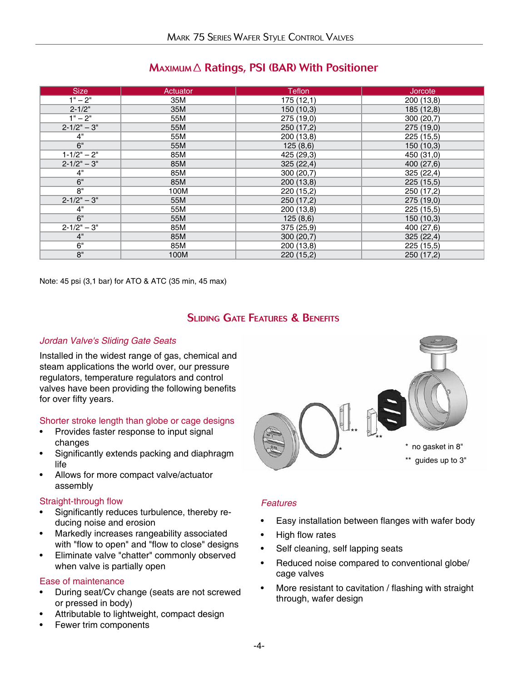#### $M$ AXIMUM $\triangle$  Ratings, PSI (BAR) With Positioner

| <b>Size</b>     | Actuator | <b>Teflon</b> | Jorcote    |
|-----------------|----------|---------------|------------|
| $1" - 2"$       | 35M      | 175(12,1)     | 200 (13,8) |
| $2 - 1/2"$      | 35M      | 150(10,3)     | 185 (12,8) |
| $1" - 2"$       | 55M      | 275 (19,0)    | 300(20,7)  |
| $2 - 1/2" - 3"$ | 55M      | 250 (17,2)    | 275 (19,0) |
| 4"              | 55M      | 200 (13,8)    | 225 (15,5) |
| 6"              | 55M      | 125(8,6)      | 150(10,3)  |
| $1 - 1/2" - 2"$ | 85M      | 425 (29,3)    | 450 (31,0) |
| $2 - 1/2" - 3"$ | 85M      | 325(22,4)     | 400 (27,6) |
| 4"              | 85M      | 300(20,7)     | 325(22,4)  |
| 6"              | 85M      | 200 (13,8)    | 225 (15,5) |
| 8"              | 100M     | 220 (15,2)    | 250 (17,2) |
| $2 - 1/2" - 3"$ | 55M      | 250 (17,2)    | 275 (19,0) |
| 4"              | 55M      | 200 (13,8)    | 225 (15,5) |
| 6"              | 55M      | 125(8,6)      | 150 (10,3) |
| $2 - 1/2" - 3"$ | 85M      | 375 (25,9)    | 400 (27,6) |
| 4"              | 85M      | 300(20,7)     | 325(22,4)  |
| 6"              | 85M      | 200 (13,8)    | 225 (15,5) |
| 8"              | 100M     | 220 (15,2)    | 250 (17,2) |

Note: 45 psi (3,1 bar) for ATO & ATC (35 min, 45 max)

#### Sliding Gate Features & Benefits

#### *Jordan Valve's Sliding Gate Seats*

Installed in the widest range of gas, chemical and steam applications the world over, our pressure regulators, temperature regulators and control valves have been providing the following benefits for over fifty years.

#### Shorter stroke length than globe or cage designs

- Provides faster response to input signal changes
- Significantly extends packing and diaphragm life
- Allows for more compact valve/actuator assembly

#### Straight-through flow

- Significantly reduces turbulence, thereby reducing noise and erosion
- Markedly increases rangeability associated with "flow to open" and "flow to close" designs
- Eliminate valve "chatter" commonly observed when valve is partially open

#### Ease of maintenance

- During seat/Cv change (seats are not screwed or pressed in body)
- Attributable to lightweight, compact design
- Fewer trim components



#### *Features*

- Easy installation between flanges with wafer body
- High flow rates
- Self cleaning, self lapping seats
- Reduced noise compared to conventional globe/ cage valves
- More resistant to cavitation / flashing with straight through, wafer design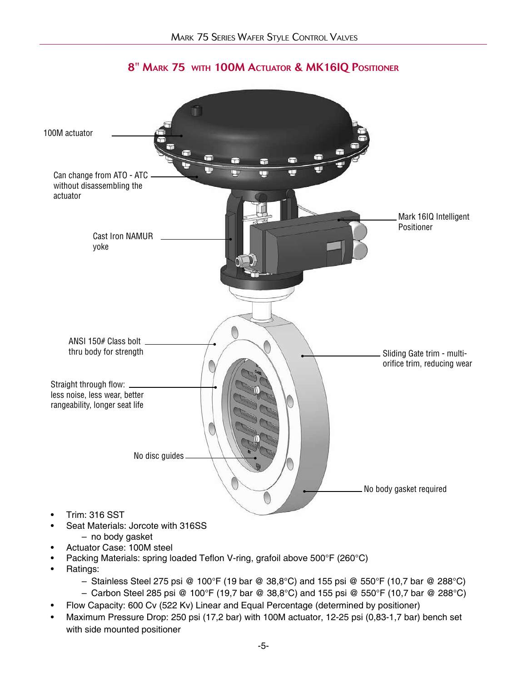

#### 8" Mark 75 with 100M Actuator & MK16IQ Positioner

- Seat Materials: Jorcote with 316SS
- no body gasket
- Actuator Case: 100M steel
- Packing Materials: spring loaded Teflon V-ring, grafoil above 500°F (260°C)
- Ratings:
	- Stainless Steel 275 psi @ 100°F (19 bar @ 38,8°C) and 155 psi @ 550°F (10,7 bar @ 288°C)
	- Carbon Steel 285 psi @ 100°F (19,7 bar @ 38,8°C) and 155 psi @ 550°F (10,7 bar @ 288°C)
- Flow Capacity: 600 Cv (522 Kv) Linear and Equal Percentage (determined by positioner)
- Maximum Pressure Drop: 250 psi (17,2 bar) with 100M actuator, 12-25 psi (0,83-1,7 bar) bench set with side mounted positioner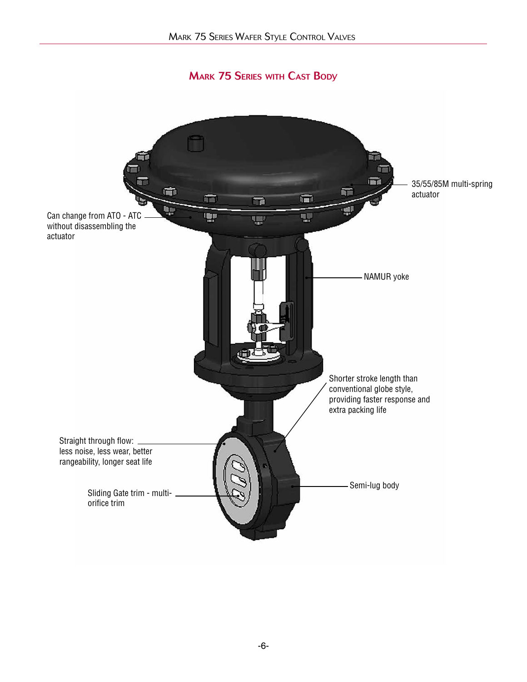**MARK 75 SERIES WITH CAST BODY** 

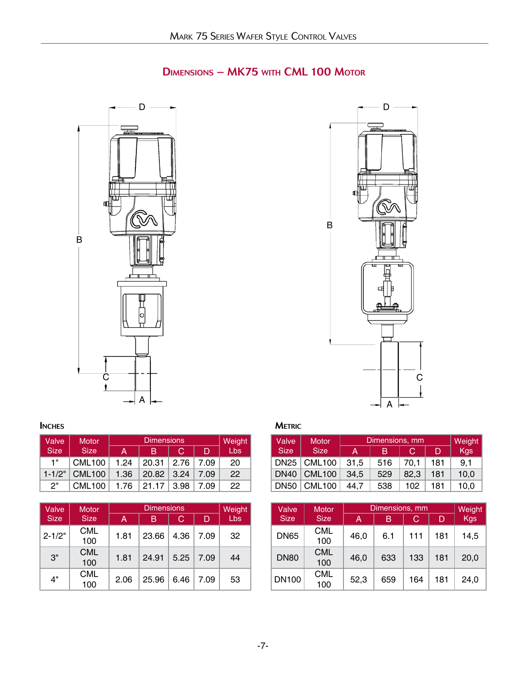## Dimensions – MK75 with CML 100 Motor



# B  $-\Box$ C  $\mathsf{D} \longrightarrow \mathsf{D}$

| Valve       | <b>Motor</b>       |      | Weight |                  |      |     |
|-------------|--------------------|------|--------|------------------|------|-----|
| <b>Size</b> | <b>Size</b>        | А    | в      | C                | D    | Lbs |
| 1"          | CML <sub>100</sub> | 1.24 | 20.31  | 2.76             | 7.09 | 20  |
| $1 - 1/2"$  | <b>CML100</b>      | 1.36 | 20.82  | $\frac{3.24}{ }$ | 7.09 | 22  |
| 2"          | <b>CML100</b>      | 1.76 | 21.17  | 3.98             | 7.09 | 22  |

| Valve       | <b>Motor</b>      |      | <b>Dimensions</b> |      |      | Weight |
|-------------|-------------------|------|-------------------|------|------|--------|
| <b>Size</b> | <b>Size</b>       | A    | В                 | С    | D    | Lbs    |
| $2 - 1/2"$  | CML<br>100        | 1.81 | 23.66             | 4.36 | 7.09 | 32     |
| 3"          | <b>CML</b><br>100 | 1.81 | 24.91             | 5.25 | 7.09 | 44     |
| 4"          | <b>CML</b><br>100 | 2.06 | 25.96             | 6.46 | 7.09 | 53     |

| Valve       | <b>Motor</b>  |      | Dimensions, mm |      |     | Weight |
|-------------|---------------|------|----------------|------|-----|--------|
| <b>Size</b> | <b>Size</b>   | А    | в              | C    | D   | Kgs    |
| <b>DN25</b> | <b>CML100</b> | 31.5 | 516            | 70.1 | 181 | 9.1    |
| <b>DN40</b> | <b>CML100</b> | 34.5 | 529            | 82.3 | 181 | 10.0   |
| <b>DN50</b> | <b>CML100</b> | 44.7 | 538            | 102  | 181 | 10.0   |

| Valve        | <b>Motor</b>      |      | Dimensions, mm |     |     | Weight |
|--------------|-------------------|------|----------------|-----|-----|--------|
| <b>Size</b>  | <b>Size</b>       | А    | В              | С   | D   | Kgs    |
| <b>DN65</b>  | CML<br>100        | 46,0 | 6.1            | 111 | 181 | 14,5   |
| <b>DN80</b>  | <b>CML</b><br>100 | 46,0 | 633            | 133 | 181 | 20,0   |
| <b>DN100</b> | CML<br>100        | 52,3 | 659            | 164 | 181 | 24,0   |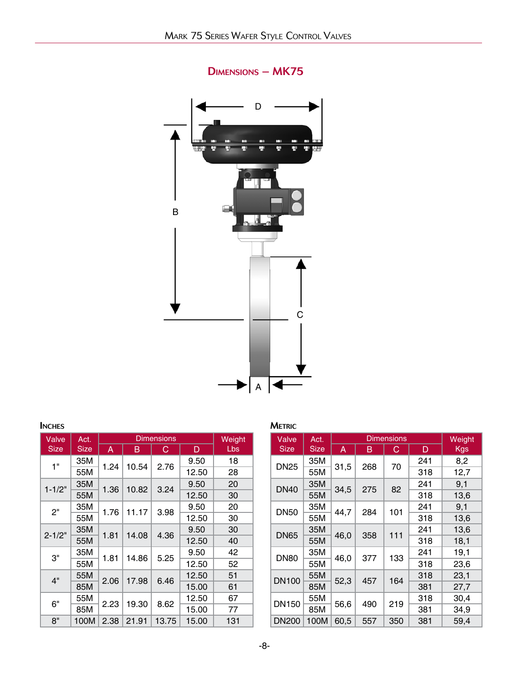

#### Dimensions – MK75

| <b>INCHES</b> |             |      |       |                   |       |        | <b>METRIC</b>     |
|---------------|-------------|------|-------|-------------------|-------|--------|-------------------|
| Valve         | Act.        |      |       | <b>Dimensions</b> |       | Weight | Valve             |
| <b>Size</b>   | <b>Size</b> | A    | в     | С                 | D     | Lbs    | <b>Size</b>       |
| 1"            | 35M         | 1.24 | 10.54 | 2.76              | 9.50  | 18     | DN <sub>25</sub>  |
|               | 55M         |      |       |                   | 12.50 | 28     |                   |
| $1 - 1/2"$    | 35M         | 1.36 | 10.82 | 3.24              | 9.50  | 20     | DN <sub>4</sub> C |
|               | 55M         |      |       |                   | 12.50 | 30     |                   |
| 2"            | 35M         | 1.76 | 11.17 | 3.98              | 9.50  | 20     | DN <sub>5</sub> C |
|               | 55M         |      |       |                   | 12.50 | 30     |                   |
| $2 - 1/2"$    | 35M         | 1.81 | 14.08 | 4.36              | 9.50  | 30     | DN65              |
|               | 55M         |      |       |                   | 12.50 | 40     |                   |
| 3"            | 35M         | 1.81 | 14.86 | 5.25              | 9.50  | 42     | DN <sub>80</sub>  |
|               | 55M         |      |       |                   | 12.50 | 52     |                   |
| 4"            | 55M         | 2.06 | 17.98 | 6.46              | 12.50 | 51     | <b>DN10</b>       |
|               | 85M         |      |       |                   | 15.00 | 61     |                   |
| 6"            | 55M         | 2.23 | 19.30 | 8.62              | 12.50 | 67     | <b>DN15</b>       |
|               | 85M         |      |       |                   | 15.00 | 77     |                   |
| 8"            | 100M        | 2.38 | 21.91 | 13.75             | 15.00 | 131    | <b>DN20</b>       |

| Valve        | Act.        |      |             | <b>Dimensions</b> |     | Weight |
|--------------|-------------|------|-------------|-------------------|-----|--------|
| <b>Size</b>  | <b>Size</b> | A    | в           | С                 | D   | Kgs    |
| <b>DN25</b>  | 35M         |      | 31,5<br>268 |                   | 241 | 8,2    |
|              | 55M         |      |             | 70                | 318 | 12,7   |
| <b>DN40</b>  | 35M         | 34,5 | 275         | 82                | 241 | 9,1    |
|              | 55M         |      |             |                   | 318 | 13,6   |
| <b>DN50</b>  | 35M         |      | 284         |                   | 241 | 9,1    |
|              | 55M         | 44,7 |             | 101               | 318 | 13,6   |
| <b>DN65</b>  | 35M         | 46,0 | 358         | 111               | 241 | 13,6   |
|              | 55M         |      |             |                   | 318 | 18,1   |
| <b>DN80</b>  | 35M         | 46,0 | 377         | 133               | 241 | 19,1   |
|              | 55M         |      |             |                   | 318 | 23,6   |
| <b>DN100</b> | 55M         | 52,3 | 457         | 164               | 318 | 23,1   |
|              | 85M         |      |             |                   | 381 | 27,7   |
|              | 55M         |      |             |                   | 318 | 30,4   |
| DN150        | 85M         | 56,6 | 490         | 219               | 381 | 34,9   |
| <b>DN200</b> | 100M        | 60,5 | 557         | 350               | 381 | 59,4   |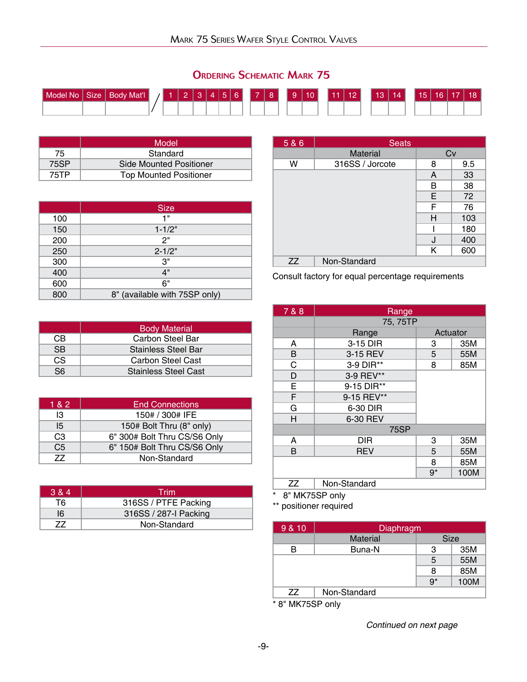| Model No | Size   Body Mat'l | <b>MARK</b> | $\mathcal{B}$ |  |  | $456$ 7 8 |  | 9 10 |  | 11   12 | $13$   14 |  | 15 16 17 | 18 <sup>1</sup> |
|----------|-------------------|-------------|---------------|--|--|-----------|--|------|--|---------|-----------|--|----------|-----------------|
|          |                   |             |               |  |  |           |  |      |  |         |           |  |          |                 |
|          |                   |             |               |  |  |           |  |      |  |         |           |  |          |                 |

|      | Model                          |  |
|------|--------------------------------|--|
| 75   | Standard                       |  |
| 75SP | <b>Side Mounted Positioner</b> |  |
| 75TP | <b>Top Mounted Positioner</b>  |  |

|     | <b>Size</b>                   |
|-----|-------------------------------|
| 100 | 1 "                           |
| 150 | $1 - 1/2"$                    |
| 200 | 2"                            |
| 250 | $2 - 1/2"$                    |
| 300 | 3"                            |
| 400 | 4"                            |
| 600 | 6"                            |
| 800 | 8" (available with 75SP only) |

|           | <b>Body Material</b>        |
|-----------|-----------------------------|
| CB        | Carbon Steel Bar            |
| <b>SB</b> | <b>Stainless Steel Bar</b>  |
| CS.       | Carbon Steel Cast           |
| S6.       | <b>Stainless Steel Cast</b> |

| 1 & 2          | <b>End Connections</b>       |
|----------------|------------------------------|
| IЗ             | 150# / 300# IFE              |
| 15             | 150# Bolt Thru (8" only)     |
| C <sub>3</sub> | 6" 300# Bolt Thru CS/S6 Only |
| C <sub>5</sub> | 6" 150# Bolt Thru CS/S6 Only |
| 77             | Non-Standard                 |

| 3 & 4 | Trim                  |
|-------|-----------------------|
| T6.   | 316SS / PTFE Packing  |
| 16    | 316SS / 287-I Packing |
|       | Non-Standard          |

| 5 & 6 | <b>Seats</b>          |   |     |
|-------|-----------------------|---|-----|
|       | Cv<br><b>Material</b> |   |     |
| W     | 316SS / Jorcote       | 8 | 9.5 |
|       |                       | A | 33  |
|       |                       | В | 38  |
|       |                       | Ε | 72  |
|       |                       | F | 76  |
|       |                       | н | 103 |
|       |                       |   | 180 |
|       |                       | J | 400 |
|       |                       | Κ | 600 |
| ZZ    | Non-Standard          |   |     |

Consult factory for equal percentage requirements

| 7 & 8 | Range        |          |      |
|-------|--------------|----------|------|
|       | 75, 75TP     |          |      |
|       | Range        | Actuator |      |
| A     | 3-15 DIR     | 3        | 35M  |
| B     | 3-15 REV     | 5        | 55M  |
| C     | 3-9 DIR**    | 8        | 85M  |
| D     | 3-9 REV**    |          |      |
| E     | 9-15 DIR**   |          |      |
| F     | 9-15 REV**   |          |      |
| G     | 6-30 DIR     |          |      |
| H     | 6-30 REV     |          |      |
|       | <b>75SP</b>  |          |      |
| A     | <b>DIR</b>   | 3        | 35M  |
| в     | <b>REV</b>   | 5        | 55M  |
|       |              | 8        | 85M  |
|       |              | $9*$     | 100M |
| ΖZ    | Non-Standard |          |      |

8" MK75SP only

\*\* positioner required

| 9 & 10 | Diaphragm       |             |      |
|--------|-----------------|-------------|------|
|        | <b>Material</b> | <b>Size</b> |      |
| в      | Buna-N          | 3           | 35M  |
|        |                 | 5           | 55M  |
|        |                 | 8           | 85M  |
|        |                 | $9*$        | 100M |
| 77     | Non-Standard    |             |      |

\* 8" MK75SP only

*Continued on next page*